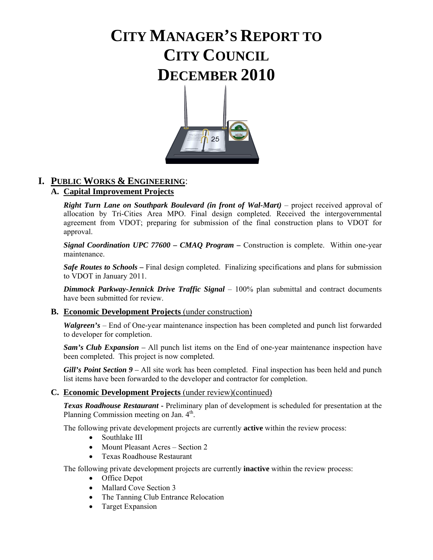# **CITY MANAGER'S REPORT TO CITY COUNCIL DECEMBER 2010**



# **I. PUBLIC WORKS & ENGINEERING**:

# **A. Capital Improvement Projects**

*Right Turn Lane on Southpark Boulevard (in front of Wal-Mart)* – project received approval of allocation by Tri-Cities Area MPO. Final design completed. Received the intergovernmental agreement from VDOT; preparing for submission of the final construction plans to VDOT for approval.

*Signal Coordination UPC 77600 – CMAQ Program* **–** Construction is complete. Within one-year maintenance.

*Safe Routes to Schools* – Final design completed. Finalizing specifications and plans for submission to VDOT in January 2011.

*Dimmock Parkway-Jennick Drive Traffic Signal – 100% plan submittal and contract documents* have been submitted for review.

### **B. Economic Development Projects** (under construction)

*Walgreen's* – End of One-year maintenance inspection has been completed and punch list forwarded to developer for completion.

*Sam's Club Expansion – All punch list items on the End of one-year maintenance inspection have* been completed. This project is now completed.

*Gill's Point Section 9* – All site work has been completed. Final inspection has been held and punch list items have been forwarded to the developer and contractor for completion.

### **C. Economic Development Projects** (under review)(continued)

*Texas Roadhouse Restaurant* **-** Preliminary plan of development is scheduled for presentation at the Planning Commission meeting on Jan. 4<sup>th</sup>.

The following private development projects are currently **active** within the review process:

- Southlake III
- Mount Pleasant Acres Section 2
- Texas Roadhouse Restaurant

The following private development projects are currently **inactive** within the review process:

- Office Depot
- Mallard Cove Section 3
- The Tanning Club Entrance Relocation
- Target Expansion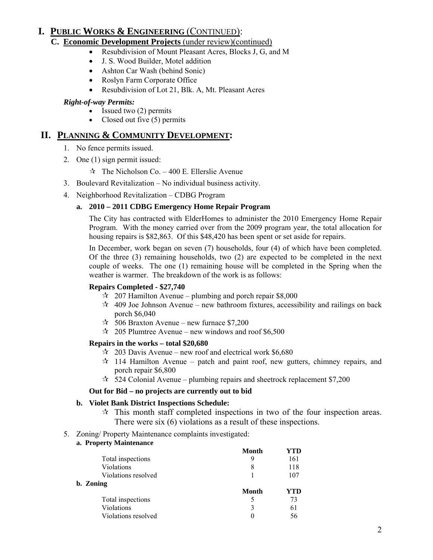# **I. PUBLIC WORKS & ENGINEERING** (CONTINUED):

# **C. Economic Development Projects** (under review)(continued)

- Resubdivision of Mount Pleasant Acres, Blocks J, G, and M
- J. S. Wood Builder, Motel addition
- Ashton Car Wash (behind Sonic)
- Roslyn Farm Corporate Office
- Resubdivision of Lot 21, Blk. A, Mt. Pleasant Acres

# *Right-of-way Permits:*

- Issued two (2) permits
- Closed out five (5) permits

# **II. PLANNING & COMMUNITY DEVELOPMENT:**

- 1. No fence permits issued.
- 2. One (1) sign permit issued:
	- $\approx$  The Nicholson Co. 400 E. Ellerslie Avenue
- 3. Boulevard Revitalization No individual business activity.
- 4. Neighborhood Revitalization CDBG Program

### **a. 2010 – 2011 CDBG Emergency Home Repair Program**

The City has contracted with ElderHomes to administer the 2010 Emergency Home Repair Program. With the money carried over from the 2009 program year, the total allocation for housing repairs is \$82,863. Of this \$48,420 has been spent or set aside for repairs.

In December, work began on seven (7) households, four (4) of which have been completed. Of the three  $(3)$  remaining households, two  $(2)$  are expected to be completed in the next couple of weeks. The one (1) remaining house will be completed in the Spring when the weather is warmer. The breakdown of the work is as follows:

### **Repairs Completed - \$27,740**

- $\approx 207$  Hamilton Avenue plumbing and porch repair \$8,000
- $\star$  409 Joe Johnson Avenue new bathroom fixtures, accessibility and railings on back porch \$6,040
- $\approx$  506 Braxton Avenue new furnace \$7,200
- $\approx$  205 Plumtree Avenue new windows and roof \$6,500

### **Repairs in the works – total \$20,680**

- $\approx$  203 Davis Avenue new roof and electrical work \$6,680
- $\star$  114 Hamilton Avenue patch and paint roof, new gutters, chimney repairs, and porch repair \$6,800
- $\approx$  524 Colonial Avenue plumbing repairs and sheetrock replacement \$7,200

### **Out for Bid – no projects are currently out to bid**

### **b. Violet Bank District Inspections Schedule:**

- $\hat{x}$  This month staff completed inspections in two of the four inspection areas. There were six (6) violations as a result of these inspections.
- 5. Zoning/ Property Maintenance complaints investigated:
	- **a. Property Maintenance**

|                     | Month        | YTD |
|---------------------|--------------|-----|
| Total inspections   | 9            | 161 |
| Violations          | 8            | 118 |
| Violations resolved |              | 107 |
| b. Zoning           |              |     |
|                     | <b>Month</b> | YTD |
| Total inspections   |              | 73  |
| Violations          | 3            | 61  |
| Violations resolved | 0            | 56  |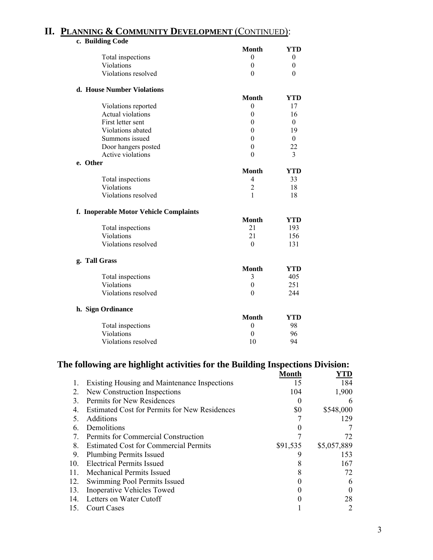# **II. PLANNING & COMMUNITY DEVELOPMENT** (CONTINUED):

| c. Building Code                       |                  |            |
|----------------------------------------|------------------|------------|
|                                        | <b>Month</b>     | <b>YTD</b> |
| Total inspections                      | $\theta$         | $\theta$   |
| Violations                             | $\overline{0}$   | 0          |
| Violations resolved                    | $\theta$         | 0          |
| d. House Number Violations             |                  |            |
|                                        | <b>Month</b>     | <b>YTD</b> |
| Violations reported                    | $\theta$         | 17         |
| Actual violations                      | $\boldsymbol{0}$ | 16         |
| First letter sent                      | $\overline{0}$   | $\theta$   |
| Violations abated                      | $\overline{0}$   | 19         |
| Summons issued                         | $\theta$         | $\theta$   |
| Door hangers posted                    | $\mathbf{0}$     | 22         |
| Active violations                      | $\theta$         | 3          |
| e. Other                               |                  |            |
|                                        | <b>Month</b>     | <b>YTD</b> |
| Total inspections                      | $\overline{4}$   | 33         |
| Violations                             | $\overline{c}$   | 18         |
| Violations resolved                    | 1                | 18         |
| f. Inoperable Motor Vehicle Complaints |                  |            |
|                                        | <b>Month</b>     | <b>YTD</b> |
| Total inspections                      | 21               | 193        |
| Violations                             | 21               | 156        |
| Violations resolved                    | $\theta$         | 131        |
| g. Tall Grass                          |                  |            |
|                                        | <b>Month</b>     | <b>YTD</b> |
| Total inspections                      | 3                | 405        |
| Violations                             | $\boldsymbol{0}$ | 251        |
| Violations resolved                    | $\theta$         | 244        |
| h. Sign Ordinance                      |                  |            |
|                                        | <b>Month</b>     | YTD        |
| Total inspections                      | $\boldsymbol{0}$ | 98         |
| Violations                             | $\boldsymbol{0}$ | 96         |
| Violations resolved                    | 10               | 94         |
|                                        |                  |            |

# The following are highlight activities for the Building Inspections Division:

|                 |                                                      | Month    | YTD         |
|-----------------|------------------------------------------------------|----------|-------------|
| 1.              | <b>Existing Housing and Maintenance Inspections</b>  | 15       | 184         |
| 2.              | New Construction Inspections                         | 104      | 1,900       |
| 3.              | Permits for New Residences                           | $\theta$ | 6           |
| 4.              | <b>Estimated Cost for Permits for New Residences</b> | \$0      | \$548,000   |
| 5.              | <b>Additions</b>                                     |          | 129         |
| 6.              | Demolitions                                          |          |             |
| 7.              | Permits for Commercial Construction                  |          | 72          |
| 8.              | <b>Estimated Cost for Commercial Permits</b>         | \$91,535 | \$5,057,889 |
| 9.              | <b>Plumbing Permits Issued</b>                       | 9        | 153         |
| 10 <sub>l</sub> | <b>Electrical Permits Issued</b>                     | 8        | 167         |
| 11.             | Mechanical Permits Issued                            | 8        | 72          |
| 12.             | Swimming Pool Permits Issued                         |          | 6           |
| 13.             | <b>Inoperative Vehicles Towed</b>                    |          | $\theta$    |
| 14.             | Letters on Water Cutoff                              |          | 28          |
| 15.             | <b>Court Cases</b>                                   |          | 2           |
|                 |                                                      |          |             |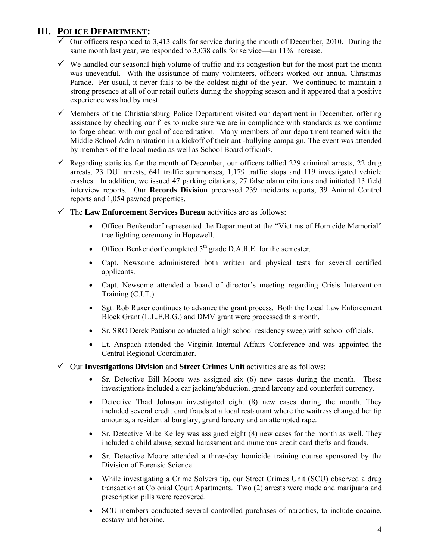# **III. POLICE DEPARTMENT:**

- $\checkmark$  Our officers responded to 3,413 calls for service during the month of December, 2010. During the same month last year, we responded to 3,038 calls for service—an 11% increase.
- $\checkmark$  We handled our seasonal high volume of traffic and its congestion but for the most part the month was uneventful. With the assistance of many volunteers, officers worked our annual Christmas Parade. Per usual, it never fails to be the coldest night of the year. We continued to maintain a strong presence at all of our retail outlets during the shopping season and it appeared that a positive experience was had by most.
- $\checkmark$  Members of the Christiansburg Police Department visited our department in December, offering assistance by checking our files to make sure we are in compliance with standards as we continue to forge ahead with our goal of accreditation. Many members of our department teamed with the Middle School Administration in a kickoff of their anti-bullying campaign. The event was attended by members of the local media as well as School Board officials.
- $\checkmark$  Regarding statistics for the month of December, our officers tallied 229 criminal arrests, 22 drug arrests, 23 DUI arrests, 641 traffic summonses, 1,179 traffic stops and 119 investigated vehicle crashes. In addition, we issued 47 parking citations, 27 false alarm citations and initiated 13 field interview reports. Our **Records Division** processed 239 incidents reports, 39 Animal Control reports and 1,054 pawned properties.
- 9 The **Law Enforcement Services Bureau** activities are as follows:
	- Officer Benkendorf represented the Department at the "Victims of Homicide Memorial" tree lighting ceremony in Hopewell.
	- Officer Benkendorf completed  $5<sup>th</sup>$  grade D.A.R.E. for the semester.
	- Capt. Newsome administered both written and physical tests for several certified applicants.
	- Capt. Newsome attended a board of director's meeting regarding Crisis Intervention Training (C.I.T.).
	- Sgt. Rob Ruxer continues to advance the grant process. Both the Local Law Enforcement Block Grant (L.L.E.B.G.) and DMV grant were processed this month.
	- Sr. SRO Derek Pattison conducted a high school residency sweep with school officials.
	- Lt. Anspach attended the Virginia Internal Affairs Conference and was appointed the Central Regional Coordinator.
- 9 Our **Investigations Division** and **Street Crimes Unit** activities are as follows:
	- Sr. Detective Bill Moore was assigned six (6) new cases during the month. These investigations included a car jacking/abduction, grand larceny and counterfeit currency.
	- Detective Thad Johnson investigated eight (8) new cases during the month. They included several credit card frauds at a local restaurant where the waitress changed her tip amounts, a residential burglary, grand larceny and an attempted rape.
	- Sr. Detective Mike Kelley was assigned eight (8) new cases for the month as well. They included a child abuse, sexual harassment and numerous credit card thefts and frauds.
	- Sr. Detective Moore attended a three-day homicide training course sponsored by the Division of Forensic Science.
	- While investigating a Crime Solvers tip, our Street Crimes Unit (SCU) observed a drug transaction at Colonial Court Apartments. Two (2) arrests were made and marijuana and prescription pills were recovered.
	- SCU members conducted several controlled purchases of narcotics, to include cocaine, ecstasy and heroine.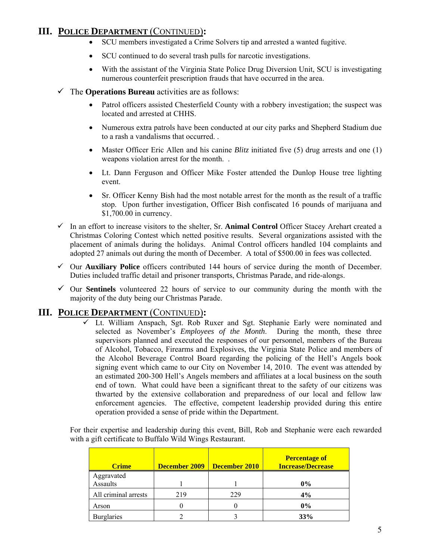# **III. POLICE DEPARTMENT** (CONTINUED)**:**

- SCU members investigated a Crime Solvers tip and arrested a wanted fugitive.
- SCU continued to do several trash pulls for narcotic investigations.
- With the assistant of the Virginia State Police Drug Diversion Unit, SCU is investigating numerous counterfeit prescription frauds that have occurred in the area.
- $\checkmark$  The **Operations Bureau** activities are as follows:
	- Patrol officers assisted Chesterfield County with a robbery investigation; the suspect was located and arrested at CHHS.
	- Numerous extra patrols have been conducted at our city parks and Shepherd Stadium due to a rash a vandalisms that occurred. .
	- Master Officer Eric Allen and his canine *Blitz* initiated five (5) drug arrests and one (1) weapons violation arrest for the month. .
	- Lt. Dann Ferguson and Officer Mike Foster attended the Dunlop House tree lighting event.
	- Sr. Officer Kenny Bish had the most notable arrest for the month as the result of a traffic stop. Upon further investigation, Officer Bish confiscated 16 pounds of marijuana and \$1,700.00 in currency.
- $\checkmark$  In an effort to increase visitors to the shelter, Sr. **Animal Control** Officer Stacey Arehart created a Christmas Coloring Contest which netted positive results. Several organizations assisted with the placement of animals during the holidays. Animal Control officers handled 104 complaints and adopted 27 animals out during the month of December. A total of \$500.00 in fees was collected.
- $\checkmark$  Our **Auxiliary Police** officers contributed 144 hours of service during the month of December. Duties included traffic detail and prisoner transports, Christmas Parade, and ride-alongs.
- $\checkmark$  Our **Sentinels** volunteered 22 hours of service to our community during the month with the majority of the duty being our Christmas Parade.

# **III. POLICE DEPARTMENT** (CONTINUED)**:**

 $\overline{\smash[b]{\mathcal{F}}}$  Lt. William Anspach, Sgt. Rob Ruxer and Sgt. Stephanie Early were nominated and selected as November's *Employees of the Month*. During the month, these three supervisors planned and executed the responses of our personnel, members of the Bureau of Alcohol, Tobacco, Firearms and Explosives, the Virginia State Police and members of the Alcohol Beverage Control Board regarding the policing of the Hell's Angels book signing event which came to our City on November 14, 2010. The event was attended by an estimated 200-300 Hell's Angels members and affiliates at a local business on the south end of town. What could have been a significant threat to the safety of our citizens was thwarted by the extensive collaboration and preparedness of our local and fellow law enforcement agencies. The effective, competent leadership provided during this entire operation provided a sense of pride within the Department.

For their expertise and leadership during this event, Bill, Rob and Stephanie were each rewarded with a gift certificate to Buffalo Wild Wings Restaurant.

| <b>Crime</b>           | December 2009 | December 2010 | <b>Percentage of</b><br><b>Increase/Decrease</b> |
|------------------------|---------------|---------------|--------------------------------------------------|
| Aggravated<br>Assaults |               |               | $0\%$                                            |
| All criminal arrests   | 219           | 229           | 4%                                               |
| Arson                  |               |               | $0\%$                                            |
| <b>Burglaries</b>      |               |               | 33%                                              |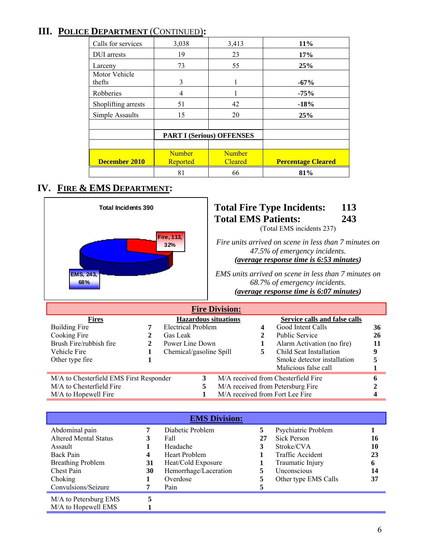# **III. POLICE DEPARTMENT** (CONTINUED)**:**

| Calls for services      | 3,038                            | 3,413                           | 11%                       |
|-------------------------|----------------------------------|---------------------------------|---------------------------|
| <b>DUI</b> arrests      | 19                               | 23                              | 17%                       |
| Larceny                 | 73                               | 55                              | 25%                       |
| Motor Vehicle<br>thefts | 3                                | 1                               | $-67%$                    |
| Robberies               | 4                                |                                 | $-75%$                    |
| Shoplifting arrests     | 51                               | 42                              | $-18%$                    |
| Simple Assaults         | 15                               | 20                              | 25%                       |
|                         |                                  |                                 |                           |
|                         | <b>PART I (Serious) OFFENSES</b> |                                 |                           |
|                         |                                  |                                 |                           |
| December 2010           | <b>Number</b><br>Reported        | <b>Number</b><br><b>Cleared</b> | <b>Percentage Cleared</b> |
|                         | 81                               | 66                              | 81%                       |

# **IV. FIRE & EMS DEPARTMENT:**



| <b>EMS Division:</b>         |    |                       |    |                      |    |
|------------------------------|----|-----------------------|----|----------------------|----|
| Abdominal pain               |    | Diabetic Problem      | 5  | Psychiatric Problem  |    |
| <b>Altered Mental Status</b> | 3  | Fall                  | 27 | Sick Person          | 16 |
| Assault                      |    | Headache              |    | Stroke/CVA           | 10 |
| Back Pain                    | 4  | Heart Problem         |    | Traffic Accident     | 23 |
| <b>Breathing Problem</b>     | 31 | Heat/Cold Exposure    |    | Traumatic Injury     | 6  |
| Chest Pain                   | 30 | Hemorrhage/Laceration | 5  | Unconscious          | 14 |
| Choking                      |    | Overdose              | 5  | Other type EMS Calls | 37 |
| Convulsions/Seizure          |    | Pain                  |    |                      |    |
| M/A to Petersburg EMS        | 5  |                       |    |                      |    |
| M/A to Hopewell EMS          |    |                       |    |                      |    |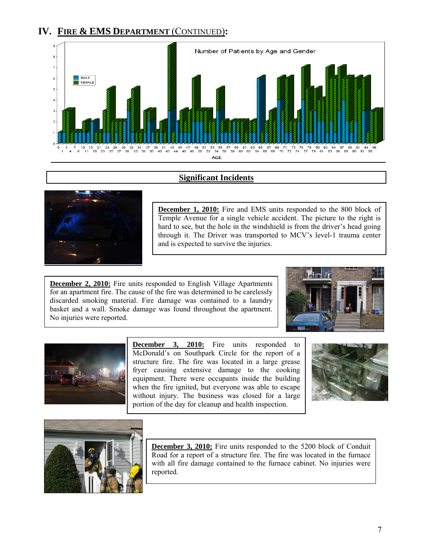

### **Significant Incidents**



**December 1, 2010:** Fire and EMS units responded to the 800 block of Temple Avenue for a single vehicle accident. The picture to the right is hard to see, but the hole in the windshield is from the driver's head going through it. The Driver was transported to MCV's level-1 trauma center and is expected to survive the injuries.

**December 2, 2010:** Fire units responded to English Village Apartments for an apartment fire. The cause of the fire was determined to be carelessly discarded smoking material. Fire damage was contained to a laundry basket and a wall. Smoke damage was found throughout the apartment. No injuries were reported.





**December 3, 2010:** Fire units responded to McDonald's on Southpark Circle for the report of a structure fire. The fire was located in a large grease fryer causing extensive damage to the cooking equipment. There were occupants inside the building when the fire ignited, but everyone was able to escape without injury. The business was closed for a large portion of the day for cleanup and health inspection.





**December 3, 2010:** Fire units responded to the 5200 block of Conduit Road for a report of a structure fire. The fire was located in the furnace with all fire damage contained to the furnace cabinet. No injuries were reported.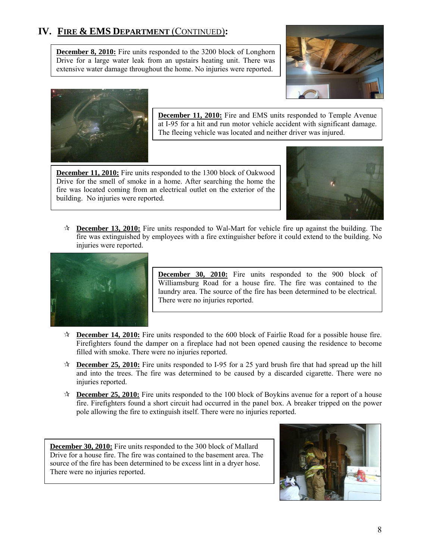**December 8, 2010:** Fire units responded to the 3200 block of Longhorn Drive for a large water leak from an upstairs heating unit. There was extensive water damage throughout the home. No injuries were reported.





**December 11, 2010:** Fire and EMS units responded to Temple Avenue at I-95 for a hit and run motor vehicle accident with significant damage. The fleeing vehicle was located and neither driver was injured.

**December 11, 2010:** Fire units responded to the 1300 block of Oakwood Drive for the smell of smoke in a home. After searching the home the fire was located coming from an electrical outlet on the exterior of the building. No injuries were reported.



 **December 13, 2010:** Fire units responded to Wal-Mart for vehicle fire up against the building. The fire was extinguished by employees with a fire extinguisher before it could extend to the building. No injuries were reported.



**December 30, 2010:** Fire units responded to the 900 block of Williamsburg Road for a house fire. The fire was contained to the laundry area. The source of the fire has been determined to be electrical. There were no injuries reported.

- **December 14, 2010:** Fire units responded to the 600 block of Fairlie Road for a possible house fire. Firefighters found the damper on a fireplace had not been opened causing the residence to become filled with smoke. There were no injuries reported.
- **December 25, 2010:** Fire units responded to I-95 for a 25 yard brush fire that had spread up the hill and into the trees. The fire was determined to be caused by a discarded cigarette. There were no injuries reported.
- **December 25, 2010:** Fire units responded to the 100 block of Boykins avenue for a report of a house fire. Firefighters found a short circuit had occurred in the panel box. A breaker tripped on the power pole allowing the fire to extinguish itself. There were no injuries reported.

**December 30, 2010:** Fire units responded to the 300 block of Mallard Drive for a house fire. The fire was contained to the basement area. The source of the fire has been determined to be excess lint in a dryer hose. There were no injuries reported.

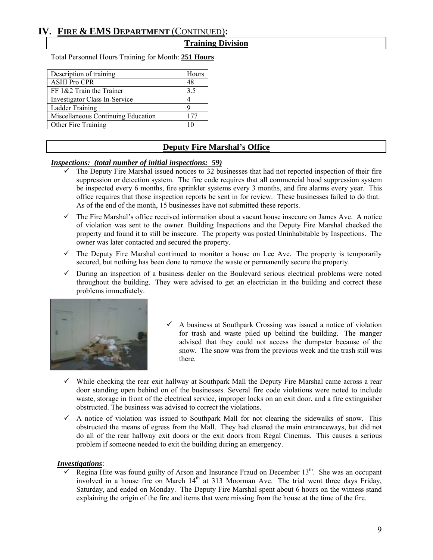#### **Training Division**

Total Personnel Hours Training for Month: **251 Hours**

| Description of training            | Hours |
|------------------------------------|-------|
| <b>ASHI Pro CPR</b>                | 48    |
| FF $1&2$ Train the Trainer         | 3.5   |
| Investigator Class In-Service      |       |
| <b>Ladder Training</b>             | q     |
| Miscellaneous Continuing Education | 177   |
| Other Fire Training                |       |

### **Deputy Fire Marshal's Office**

#### *Inspections: (total number of initial inspections: 59)*

- The Deputy Fire Marshal issued notices to 32 businesses that had not reported inspection of their fire suppression or detection system. The fire code requires that all commercial hood suppression system be inspected every 6 months, fire sprinkler systems every 3 months, and fire alarms every year. This office requires that those inspection reports be sent in for review. These businesses failed to do that. As of the end of the month, 15 businesses have not submitted these reports.
- $\checkmark$  The Fire Marshal's office received information about a vacant house insecure on James Ave. A notice of violation was sent to the owner. Building Inspections and the Deputy Fire Marshal checked the property and found it to still be insecure. The property was posted Uninhabitable by Inspections. The owner was later contacted and secured the property.
- $\checkmark$  The Deputy Fire Marshal continued to monitor a house on Lee Ave. The property is temporarily secured, but nothing has been done to remove the waste or permanently secure the property.
- $\checkmark$  During an inspection of a business dealer on the Boulevard serious electrical problems were noted throughout the building. They were advised to get an electrician in the building and correct these problems immediately.



- $\checkmark$  A business at Southpark Crossing was issued a notice of violation for trash and waste piled up behind the building. The manger advised that they could not access the dumpster because of the snow. The snow was from the previous week and the trash still was there.
- $\checkmark$  While checking the rear exit hallway at Southpark Mall the Deputy Fire Marshal came across a rear door standing open behind on of the businesses. Several fire code violations were noted to include waste, storage in front of the electrical service, improper locks on an exit door, and a fire extinguisher obstructed. The business was advised to correct the violations.
- $\checkmark$  A notice of violation was issued to Southpark Mall for not clearing the sidewalks of snow. This obstructed the means of egress from the Mall. They had cleared the main entranceways, but did not do all of the rear hallway exit doors or the exit doors from Regal Cinemas. This causes a serious problem if someone needed to exit the building during an emergency.

#### *Investigations*:

Regina Hite was found guilty of Arson and Insurance Fraud on December 13<sup>th</sup>. She was an occupant involved in a house fire on March  $14<sup>th</sup>$  at 313 Moorman Ave. The trial went three days Friday, Saturday, and ended on Monday. The Deputy Fire Marshal spent about 6 hours on the witness stand explaining the origin of the fire and items that were missing from the house at the time of the fire.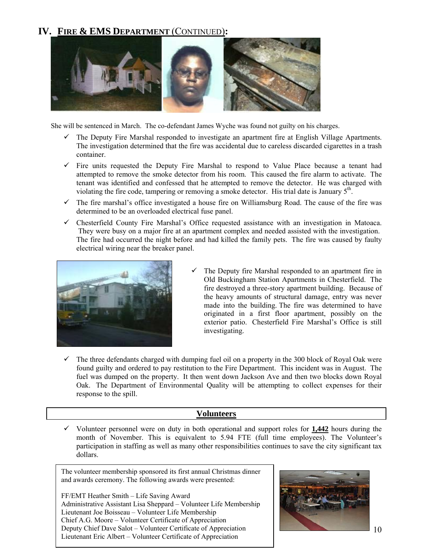

She will be sentenced in March. The co-defendant James Wyche was found not guilty on his charges.

- $\checkmark$  The Deputy Fire Marshal responded to investigate an apartment fire at English Village Apartments. The investigation determined that the fire was accidental due to careless discarded cigarettes in a trash container.
- $\checkmark$  Fire units requested the Deputy Fire Marshal to respond to Value Place because a tenant had attempted to remove the smoke detector from his room. This caused the fire alarm to activate. The tenant was identified and confessed that he attempted to remove the detector. He was charged with violating the fire code, tampering or removing a smoke detector. His trial date is January 5<sup>th</sup>.
- $\checkmark$  The fire marshal's office investigated a house fire on Williamsburg Road. The cause of the fire was determined to be an overloaded electrical fuse panel.
- $\checkmark$  Chesterfield County Fire Marshal's Office requested assistance with an investigation in Matoaca. They were busy on a major fire at an apartment complex and needed assisted with the investigation. The fire had occurred the night before and had killed the family pets. The fire was caused by faulty electrical wiring near the breaker panel.



- $\checkmark$  The Deputy fire Marshal responded to an apartment fire in Old Buckingham Station Apartments in Chesterfield. The fire destroyed a three-story apartment building. Because of the heavy amounts of structural damage, entry was never made into the building. The fire was determined to have originated in a first floor apartment, possibly on the exterior patio. Chesterfield Fire Marshal's Office is still investigating.
- $\checkmark$  The three defendants charged with dumping fuel oil on a property in the 300 block of Royal Oak were found guilty and ordered to pay restitution to the Fire Department. This incident was in August. The fuel was dumped on the property. It then went down Jackson Ave and then two blocks down Royal Oak. The Department of Environmental Quality will be attempting to collect expenses for their response to the spill.

### **Volunteers**

 $\checkmark$  Volunteer personnel were on duty in both operational and support roles for  $1,442$  hours during the month of November. This is equivalent to 5.94 FTE (full time employees). The Volunteer's participation in staffing as well as many other responsibilities continues to save the city significant tax dollars.

The volunteer membership sponsored its first annual Christmas dinner and awards ceremony. The following awards were presented:

FF/EMT Heather Smith – Life Saving Award Administrative Assistant Lisa Sheppard – Volunteer Life Membership Lieutenant Joe Boisseau – Volunteer Life Membership Chief A.G. Moore – Volunteer Certificate of Appreciation Deputy Chief Dave Salot – Volunteer Certificate of Appreciation Lieutenant Eric Albert – Volunteer Certificate of Appreciation

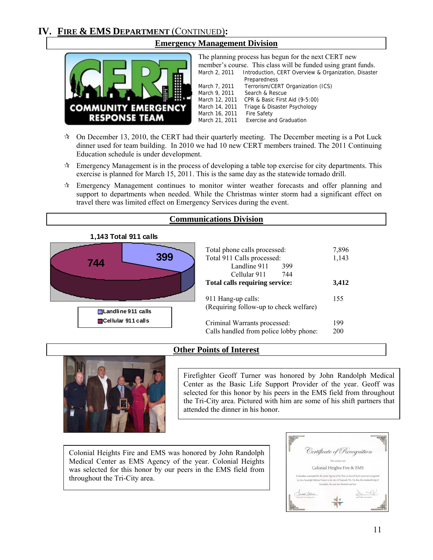

# **Emergency Management Division**

The planning process has begun for the next CERT new member's course. This class will be funded using grant funds. March 2, 2011 Introduction, CERT Overview & Organization, Disaster Preparedness<br>March 7, 2011 Terrorism/CEI March 7, 2011 Terrorism/CERT Organization (ICS)<br>March 9, 2011 Search & Rescue Search & Rescue March 12, 2011 CPR & Basic First Aid (9-5:00) March 14, 2011 Triage & Disaster Psychology March 16, 2011 Fire Safety March 21, 2011 Exercise and Graduation

- $\approx$  On December 13, 2010, the CERT had their quarterly meeting. The December meeting is a Pot Luck dinner used for team building. In 2010 we had 10 new CERT members trained. The 2011 Continuing Education schedule is under development.
- $\star$  Emergency Management is in the process of developing a table top exercise for city departments. This exercise is planned for March 15, 2011. This is the same day as the statewide tornado drill.
- $\star$  Emergency Management continues to monitor winter weather forecasts and offer planning and support to departments when needed. While the Christmas winter storm had a significant effect on travel there was limited effect on Emergency Services during the event.

# **Communications Division**

**1,143 Total 911 calls**



| Total phone calls processed:           | 7,896 |
|----------------------------------------|-------|
| Total 911 Calls processed:             | 1,143 |
| Landline 911<br>399                    |       |
| Cellular 911<br>-744                   |       |
| Total calls requiring service:         | 3,412 |
| 911 Hang-up calls:                     | 155   |
| (Requiring follow-up to check welfare) |       |
| Criminal Warrants processed:           | 199   |
| Calls handled from police lobby phone: | 200   |

# **Other Points of Interest**



Firefighter Geoff Turner was honored by John Randolph Medical Center as the Basic Life Support Provider of the year. Geoff was selected for this honor by his peers in the EMS field from throughout the Tri-City area. Pictured with him are some of his shift partners that attended the dinner in his honor.

Colonial Heights Fire and EMS was honored by John Randolph Medical Center as EMS Agency of the year. Colonial Heights was selected for this honor by our peers in the EMS field from throughout the Tri-City area.

| Certificate of Recognition                                                                                                                                                                                                                  |
|---------------------------------------------------------------------------------------------------------------------------------------------------------------------------------------------------------------------------------------------|
| This nettilles that                                                                                                                                                                                                                         |
| Colonial Heights Fire & EMS                                                                                                                                                                                                                 |
| Is therefore nominated for the award Agency of the Year as selected by its peers and recognized<br>by John Randolph Medical Center in the city of Hopewell, VA. On this, the nineteenth day of<br>November, the year two thousand and test. |
|                                                                                                                                                                                                                                             |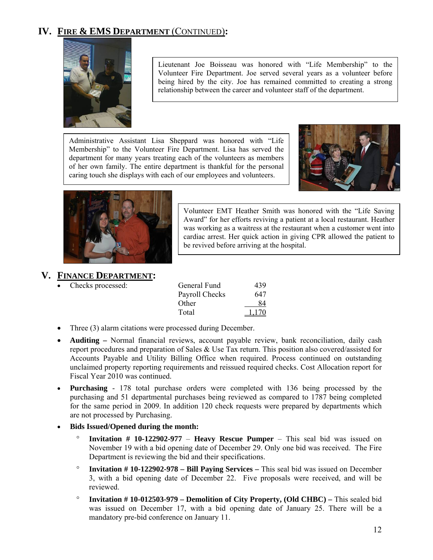

Lieutenant Joe Boisseau was honored with "Life Membership" to the Volunteer Fire Department. Joe served several years as a volunteer before being hired by the city. Joe has remained committed to creating a strong relationship between the career and volunteer staff of the department.

Administrative Assistant Lisa Sheppard was honored with "Life Membership" to the Volunteer Fire Department. Lisa has served the department for many years treating each of the volunteers as members of her own family. The entire department is thankful for the personal caring touch she displays with each of our employees and volunteers.





Volunteer EMT Heather Smith was honored with the "Life Saving Award" for her efforts reviving a patient at a local restaurant. Heather was working as a waitress at the restaurant when a customer went into cardiac arrest. Her quick action in giving CPR allowed the patient to be revived before arriving at the hospital.

# **V. FINANCE DEPARTMENT:**

Checks processed:

| General Fund   | 439   |
|----------------|-------|
| Payroll Checks | 647   |
| Other          | 84    |
| Total          | 1.170 |

- Three (3) alarm citations were processed during December.
- **Auditing** Normal financial reviews, account payable review, bank reconciliation, daily cash report procedures and preparation of Sales & Use Tax return. This position also covered/assisted for Accounts Payable and Utility Billing Office when required. Process continued on outstanding unclaimed property reporting requirements and reissued required checks. Cost Allocation report for Fiscal Year 2010 was continued.
- **Purchasing** 178 total purchase orders were completed with 136 being processed by the purchasing and 51 departmental purchases being reviewed as compared to 1787 being completed for the same period in 2009. In addition 120 check requests were prepared by departments which are not processed by Purchasing.
- **Bids Issued/Opened during the month:** 
	- ° **Invitation # 10-122902-977 Heavy Rescue Pumper** This seal bid was issued on November 19 with a bid opening date of December 29. Only one bid was received. The Fire Department is reviewing the bid and their specifications.
	- ° **Invitation # 10-122902-978 Bill Paying Services** This seal bid was issued on December 3, with a bid opening date of December 22. Five proposals were received, and will be reviewed.
	- ° **Invitation # 10-012503-979 Demolition of City Property, (Old CHBC)** This sealed bid was issued on December 17, with a bid opening date of January 25. There will be a mandatory pre-bid conference on January 11.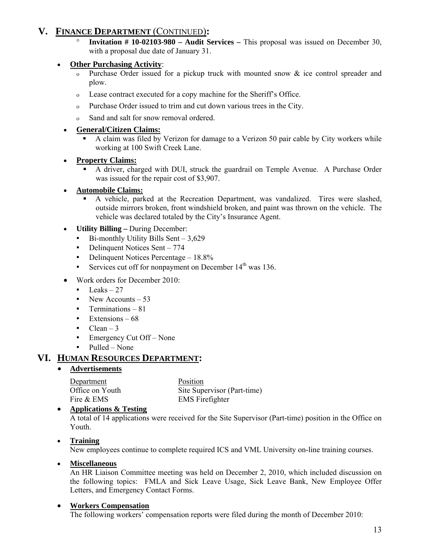# **V. FINANCE DEPARTMENT** (CONTINUED)**:**

**Invitation # 10-02103-980 – Audit Services –** This proposal was issued on December 30, with a proposal due date of January 31.

# • **Other Purchasing Activity**:

- ο Purchase Order issued for a pickup truck with mounted snow & ice control spreader and plow.
- ο Lease contract executed for a copy machine for the Sheriff's Office.
- ο Purchase Order issued to trim and cut down various trees in the City.
- ο Sand and salt for snow removal ordered.

# • **General/Citizen Claims:**

 A claim was filed by Verizon for damage to a Verizon 50 pair cable by City workers while working at 100 Swift Creek Lane.

# • **Property Claims:**

 A driver, charged with DUI, struck the guardrail on Temple Avenue. A Purchase Order was issued for the repair cost of \$3,907.

# • **Automobile Claims:**

- A vehicle, parked at the Recreation Department, was vandalized. Tires were slashed, outside mirrors broken, front windshield broken, and paint was thrown on the vehicle. The vehicle was declared totaled by the City's Insurance Agent.
- **Utility Billing** During December:
	- $\bullet$  Bi-monthly Utility Bills Sent 3,629
	- Delinquent Notices Sent 774
	- Delinquent Notices Percentage 18.8%
	- **•** Services cut off for nonpayment on December  $14<sup>th</sup>$  was 136.
- Work orders for December 2010:
	- $\blacksquare$  Leaks 27
	- $\blacksquare$  New Accounts 53
	- **•** Terminations 81
	- $\blacksquare$  Extensions 68
	- $\blacksquare$  Clean 3
	- **•** Emergency Cut Off None
	- Pulled None

# **VI. HUMAN RESOURCES DEPARTMENT:**

# • **Advertisements**

Department Position Fire & EMS Firefighter

Office on Youth Site Supervisor (Part-time)

### • **Applications & Testing**

A total of 14 applications were received for the Site Supervisor (Part-time) position in the Office on Youth.

### • **Training**

New employees continue to complete required ICS and VML University on-line training courses.

### • **Miscellaneous**

An HR Liaison Committee meeting was held on December 2, 2010, which included discussion on the following topics: FMLA and Sick Leave Usage, Sick Leave Bank, New Employee Offer Letters, and Emergency Contact Forms.

# • **Workers Compensation**

The following workers' compensation reports were filed during the month of December 2010: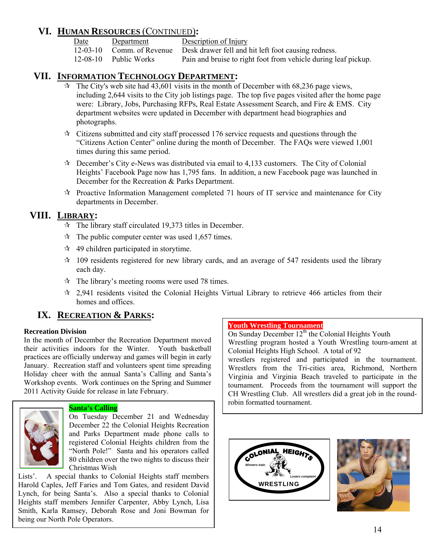# **VI. HUMAN RESOURCES** (CONTINUED)**:**

Date Department Description of Injury

12-03-10 Comm. of Revenue Desk drawer fell and hit left foot causing redness.

12-08-10 Public Works Pain and bruise to right foot from vehicle during leaf pickup.

# **VII. INFORMATION TECHNOLOGY DEPARTMENT:**

- $\overrightarrow{x}$  The City's web site had 43,601 visits in the month of December with 68,236 page views, including 2,644 visits to the City job listings page. The top five pages visited after the home page were: Library, Jobs, Purchasing RFPs, Real Estate Assessment Search, and Fire & EMS. City department websites were updated in December with department head biographies and photographs.
- $\star$  Citizens submitted and city staff processed 176 service requests and questions through the "Citizens Action Center" online during the month of December. The FAQs were viewed 1,001 times during this same period.
- $\star$  December's City e-News was distributed via email to 4,133 customers. The City of Colonial Heights' Facebook Page now has 1,795 fans. In addition, a new Facebook page was launched in December for the Recreation & Parks Department.
- $\mathcal{R}$  Proactive Information Management completed 71 hours of IT service and maintenance for City departments in December.

# **VIII. LIBRARY:**

- $\approx$  The library staff circulated 19.373 titles in December.
- $\approx$  The public computer center was used 1,657 times.
- $\approx$  49 children participated in storytime.
- $\approx$  109 residents registered for new library cards, and an average of 547 residents used the library each day.
- $\approx$  The library's meeting rooms were used 78 times.
- $\approx$  2.941 residents visited the Colonial Heights Virtual Library to retrieve 466 articles from their homes and offices.

# **IX. RECREATION & PARKS:**

#### **Recreation Division**

In the month of December the Recreation Department moved their activities indoors for the Winter. Youth basketball practices are officially underway and games will begin in early January. Recreation staff and volunteers spent time spreading Holiday cheer with the annual Santa's Calling and Santa's Workshop events. Work continues on the Spring and Summer 2011 Activity Guide for release in late February.



# **Santa's Calling**

On Tuesday December 21 and Wednesday December 22 the Colonial Heights Recreation and Parks Department made phone calls to registered Colonial Heights children from the "North Pole!" Santa and his operators called 80 children over the two nights to discuss their Christmas Wish

Lists'. A special thanks to Colonial Heights staff members Harold Caples, Jeff Faries and Tom Gates, and resident David Lynch, for being Santa's. Also a special thanks to Colonial Heights staff members Jennifer Carpenter, Abby Lynch, Lisa Smith, Karla Ramsey, Deborah Rose and Joni Bowman for being our North Pole Operators.

#### **Youth Wrestling Tournament**

On Sunday December  $12<sup>th</sup>$  the Colonial Heights Youth Wrestling program hosted a Youth Wrestling tourn-ament at Colonial Heights High School. A total of 92 wrestlers registered and participated in the tournament. Wrestlers from the Tri-cities area, Richmond, Northern Virginia and Virginia Beach traveled to participate in the tournament. Proceeds from the tournament will support the CH Wrestling Club. All wrestlers did a great job in the roundrobin formatted tournament.



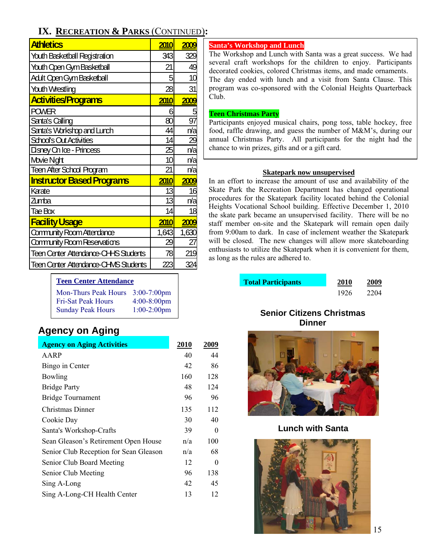# **IX. RECREATION & PARKS** (CONTINUED)**:**

| <b>Athletics</b>                             | <b>2010</b> | 2009            |
|----------------------------------------------|-------------|-----------------|
| Youth Basketball Registration                | 3431        | 329             |
| <b>Youth Open Gym Basketball</b>             | 21          | 49              |
| <b>Adult Open Gym Basketball</b>             | 5           | 10              |
| <b>Youth Wrestling</b>                       | 28          | 31              |
| <b>Activities/Programs</b>                   | 2010        | 2009            |
| <b>POWER</b>                                 | 6           |                 |
| Santa's Calling                              | 80          | 97              |
| Santa's Workshop and Lunch                   | 44          | n/a             |
| School's Out Activities                      | 14          | <b>29</b>       |
| Disney On Ice - Princess                     | 25          | n/a             |
| Movie Nght                                   | 10          | n/a             |
| <b>Teen After School Program</b>             | 21          | n/a             |
| <b>Instructor Based Programs</b>             | 2010        | <b>2009</b>     |
| Karate                                       | 13          | 16              |
| Zumba                                        | 13          | n/a             |
| Tae Box                                      | 14          | 18              |
| <b>Facility Usage</b>                        | <b>2010</b> | <b>2009</b>     |
| Community Room Attendance                    | 1,643       | 1,630           |
| Community Room Reservations                  | 29          | $\overline{27}$ |
| <b>Teen Center Attendance-CH-IS Students</b> | 78          | 219             |
| <b>Teen Center Attendance CHVIS Students</b> | 223         |                 |

**Teen Center Attendance**

| <b>Mon-Thurs Peak Hours</b> | $3:00-7:00$ pm |
|-----------------------------|----------------|
| <b>Fri-Sat Peak Hours</b>   | $4:00-8:00$ pm |
| <b>Sunday Peak Hours</b>    | $1:00-2:00$ pm |

# **Agency on Aging**

| <b>Agency on Aging Activities</b>      | <b>2010</b> | 2009     |
|----------------------------------------|-------------|----------|
| AARP                                   | 40          | 44       |
| Bingo in Center                        | 42          | 86       |
| Bowling                                | 160         | 128      |
| <b>Bridge Party</b>                    | 48          | 124      |
| <b>Bridge Tournament</b>               | 96          | 96       |
| Christmas Dinner                       | 135         | 112      |
| Cookie Day                             | 30          | 40       |
| Santa's Workshop-Crafts                | 39          | $\Omega$ |
| Sean Gleason's Retirement Open House   | n/a         | 100      |
| Senior Club Reception for Sean Gleason | n/a         | 68       |
| Senior Club Board Meeting              | 12          | 0        |
| Senior Club Meeting                    | 96          | 138      |
| Sing A-Long                            | 42          | 45       |
| Sing A-Long-CH Health Center           | 13          | 12       |
|                                        |             |          |

#### **Santa's Workshop and Lunch**

The Workshop and Lunch with Santa was a great success. We had several craft workshops for the children to enjoy. Participants decorated cookies, colored Christmas items, and made ornaments. The day ended with lunch and a visit from Santa Clause. This program was co-sponsored with the Colonial Heights Quarterback Club.

#### **Teen Christmas Party**

Participants enjoyed musical chairs, pong toss, table hockey, free food, raffle drawing, and guess the number of M&M's, during our annual Christmas Party. All participants for the night had the chance to win prizes, gifts and or a gift card.

#### **Skatepark now unsupervised**

In an effort to increase the amount of use and availability of the Skate Park the Recreation Department has changed operational procedures for the Skatepark facility located behind the Colonial Heights Vocational School building. Effective December 1, 2010 the skate park became an unsupervised facility. There will be no staff member on-site and the Skatepark will remain open daily from 9:00am to dark. In case of inclement weather the Skatepark will be closed. The new changes will allow more skateboarding enthusiasts to utilize the Skatepark when it is convenient for them, as long as the rules are adhered to.

| <b>Total Participants</b> | <b>2010</b> | 2009 |
|---------------------------|-------------|------|
|                           | 1926        | 2204 |

# **Senior Citizens Christmas Dinner**



**Lunch with Santa** 

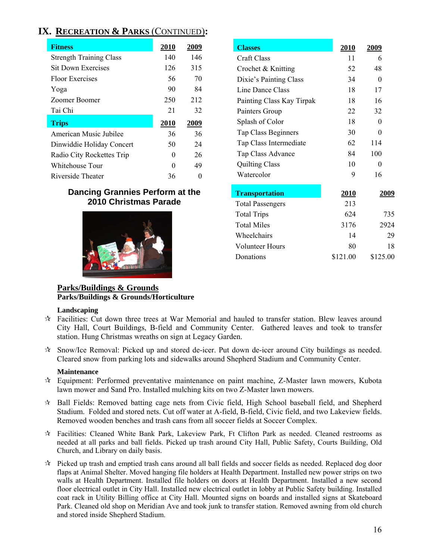# **IX. RECREATION & PARKS** (CONTINUED)**:**

| <b>Fitness</b>                 | 2010         | 2009 |
|--------------------------------|--------------|------|
| <b>Strength Training Class</b> | 140          | 146  |
| Sit Down Exercises             | 126          | 315  |
| Floor Exercises                | 56           | 70   |
| Yoga                           | 90           | 84   |
| Zoomer Boomer                  | 250          | 212  |
| Tai Chi                        | 21           | 32   |
| <b>Trips</b>                   | <b>2010</b>  | 2009 |
| American Music Jubilee         | 36           | 36   |
| Dinwiddie Holiday Concert      | 50           | 24   |
| Radio City Rockettes Trip      | 0            | 26   |
| Whitehouse Tour                | $\mathbf{0}$ | 49   |
| Riverside Theater              | 36           |      |

# **Dancing Grannies Perform at the 2010 Christmas Parade**



| <b>Classes</b>            | <u>2010</u> | 2009         |
|---------------------------|-------------|--------------|
| <b>Craft Class</b>        | 11          | 6            |
| Crochet & Knitting        | 52          | 48           |
| Dixie's Painting Class    | 34          | $\theta$     |
| Line Dance Class          | 18          | 17           |
| Painting Class Kay Tirpak | 18          | 16           |
| Painters Group            | 22          | 32           |
| Splash of Color           | 18          | $\theta$     |
| Tap Class Beginners       | 30          | 0            |
| Tap Class Intermediate    | 62          | 114          |
| Tap Class Advance         | 84          | 100          |
| <b>Quilting Class</b>     | 10          | 0            |
| Watercolor                | 9           | 16           |
| <b>Transportation</b>     | <u>2010</u> | <u> 2009</u> |
| <b>Total Passengers</b>   | 213         |              |
| <b>Total Trips</b>        | 624         | 735          |
| <b>Total Miles</b>        | 3176        | 2924         |
| Wheelchairs               | 14          | 29           |
| Volunteer Hours           | 80          | 18           |
| Donations                 | \$121.00    | \$125.00     |

# **Parks/Buildings & Grounds Parks/Buildings & Grounds/Horticulture**

#### **Landscaping**

- $\hat{\mathcal{F}}$  Facilities: Cut down three trees at War Memorial and hauled to transfer station. Blew leaves around City Hall, Court Buildings, B-field and Community Center. Gathered leaves and took to transfer station. Hung Christmas wreaths on sign at Legacy Garden.
- Snow/Ice Removal: Picked up and stored de-icer. Put down de-icer around City buildings as needed. Cleared snow from parking lots and sidewalks around Shepherd Stadium and Community Center.

### **Maintenance**

- Equipment: Performed preventative maintenance on paint machine, Z-Master lawn mowers, Kubota lawn mower and Sand Pro. Installed mulching kits on two Z-Master lawn mowers.
- $\star$  Ball Fields: Removed batting cage nets from Civic field, High School baseball field, and Shepherd Stadium. Folded and stored nets. Cut off water at A-field, B-field, Civic field, and two Lakeview fields. Removed wooden benches and trash cans from all soccer fields at Soccer Complex.
- $\star$  Facilities: Cleaned White Bank Park, Lakeview Park, Ft Clifton Park as needed. Cleaned restrooms as needed at all parks and ball fields. Picked up trash around City Hall, Public Safety, Courts Building, Old Church, and Library on daily basis.
- $\hat{\mathcal{R}}$  Picked up trash and emptied trash cans around all ball fields and soccer fields as needed. Replaced dog door flaps at Animal Shelter. Moved hanging file holders at Health Department. Installed new power strips on two walls at Health Department. Installed file holders on doors at Health Department. Installed a new second floor electrical outlet in City Hall. Installed new electrical outlet in lobby at Public Safety building. Installed coat rack in Utility Billing office at City Hall. Mounted signs on boards and installed signs at Skateboard Park. Cleaned old shop on Meridian Ave and took junk to transfer station. Removed awning from old church and stored inside Shepherd Stadium.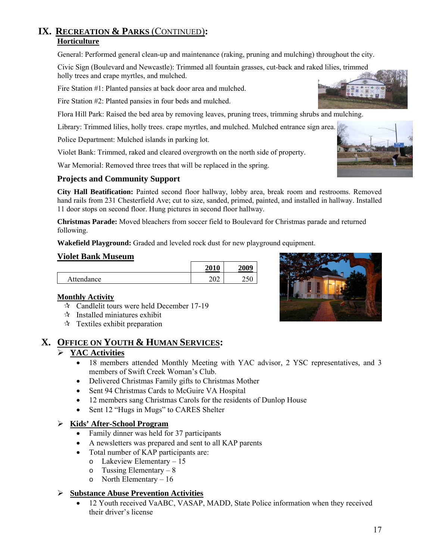# **IX. RECREATION & PARKS** (CONTINUED)**: Horticulture**

General: Performed general clean-up and maintenance (raking, pruning and mulching) throughout the city.

Civic Sign (Boulevard and Newcastle): Trimmed all fountain grasses, cut-back and raked lilies, trimmed holly trees and crape myrtles, and mulched.

Fire Station #1: Planted pansies at back door area and mulched.

Fire Station #2: Planted pansies in four beds and mulched.

Flora Hill Park: Raised the bed area by removing leaves, pruning trees, trimming shrubs and mulching.

Library: Trimmed lilies, holly trees. crape myrtles, and mulched. Mulched entrance sign area.

Police Department: Mulched islands in parking lot.

Violet Bank: Trimmed, raked and cleared overgrowth on the north side of property.

War Memorial: Removed three trees that will be replaced in the spring.

# **Projects and Community Support**

**City Hall Beatification:** Painted second floor hallway, lobby area, break room and restrooms. Removed hand rails from 231 Chesterfield Ave; cut to size, sanded, primed, painted, and installed in hallway. Installed 11 door stops on second floor. Hung pictures in second floor hallway.

**Christmas Parade:** Moved bleachers from soccer field to Boulevard for Christmas parade and returned following.

**Wakefield Playground:** Graded and leveled rock dust for new playground equipment.

#### **Violet Bank Museum**

|            | 2010<br>۰            | 2009                        |
|------------|----------------------|-----------------------------|
| Attendance | $\Omega$<br>$U \sim$ | $\sim$ $\sim$ $\sim$<br>∠⊃∪ |

### **Monthly Activity**

- $\approx$  Candlelit tours were held December 17-19
- $\mathbf{\hat{x}}$  Installed miniatures exhibit
- $\star$  Textiles exhibit preparation

# **X. OFFICE ON YOUTH & HUMAN SERVICES:**

### ¾ **YAC Activities**

- 18 members attended Monthly Meeting with YAC advisor, 2 YSC representatives, and 3 members of Swift Creek Woman's Club.
- Delivered Christmas Family gifts to Christmas Mother
- Sent 94 Christmas Cards to McGuire VA Hospital
- 12 members sang Christmas Carols for the residents of Dunlop House
- Sent 12 "Hugs in Mugs" to CARES Shelter

### ¾ **Kids' After-School Program**

- Family dinner was held for 37 participants
- A newsletters was prepared and sent to all KAP parents
- Total number of KAP participants are:
	- o Lakeview Elementary 15
	- o Tussing Elementary 8
	- o North Elementary 16

### ¾ **Substance Abuse Prevention Activities**

• 12 Youth received VaABC, VASAP, MADD, State Police information when they received their driver's license





17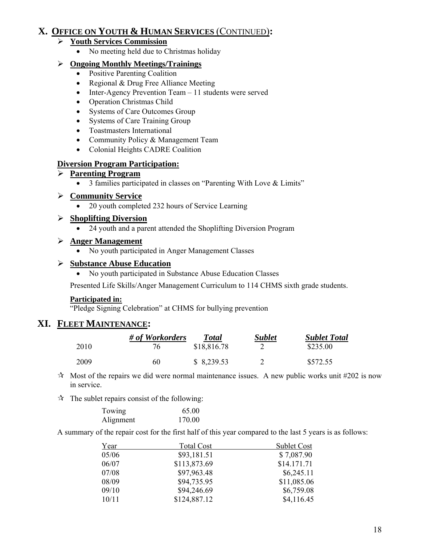# **X. OFFICE ON YOUTH & HUMAN SERVICES** (CONTINUED)**:**

# ¾ **Youth Services Commission**

• No meeting held due to Christmas holiday

# ¾ **Ongoing Monthly Meetings/Trainings**

- Positive Parenting Coalition
- Regional & Drug Free Alliance Meeting
- Inter-Agency Prevention Team 11 students were served
- Operation Christmas Child
- Systems of Care Outcomes Group
- Systems of Care Training Group
- Toastmasters International
- Community Policy & Management Team
- Colonial Heights CADRE Coalition

# **Diversion Program Participation:**

# ¾ **Parenting Program**

• 3 families participated in classes on "Parenting With Love & Limits"

# ¾ **Community Service**

• 20 youth completed 232 hours of Service Learning

# ¾ **Shoplifting Diversion**

• 24 youth and a parent attended the Shoplifting Diversion Program

# ¾ **Anger Management**

• No youth participated in Anger Management Classes

# ¾ **Substance Abuse Education**

• No youth participated in Substance Abuse Education Classes

Presented Life Skills/Anger Management Curriculum to 114 CHMS sixth grade students.

### **Participated in:**

"Pledge Signing Celebration" at CHMS for bullying prevention

# **XI. FLEET MAINTENANCE:**

|      | # of Workorders | <b>Total</b> | <b>Sublet</b> | <b>Sublet Total</b> |
|------|-----------------|--------------|---------------|---------------------|
| 2010 | 76              | \$18,816.78  |               | \$235.00            |
| 2009 | 60              | \$8,239.53   |               | \$572.55            |

 $\star$  Most of the repairs we did were normal maintenance issues. A new public works unit #202 is now in service.

 $\mathcal{R}$  The sublet repairs consist of the following:

| Towing    | 65.00  |
|-----------|--------|
| Alignment | 170.00 |

A summary of the repair cost for the first half of this year compared to the last 5 years is as follows:

| Year  | <b>Total Cost</b> | <b>Sublet Cost</b> |
|-------|-------------------|--------------------|
| 05/06 | \$93,181.51       | \$7,087.90         |
| 06/07 | \$113,873.69      | \$14.171.71        |
| 07/08 | \$97,963.48       | \$6,245.11         |
| 08/09 | \$94,735.95       | \$11,085.06        |
| 09/10 | \$94,246.69       | \$6,759.08         |
| 10/11 | \$124,887.12      | \$4,116.45         |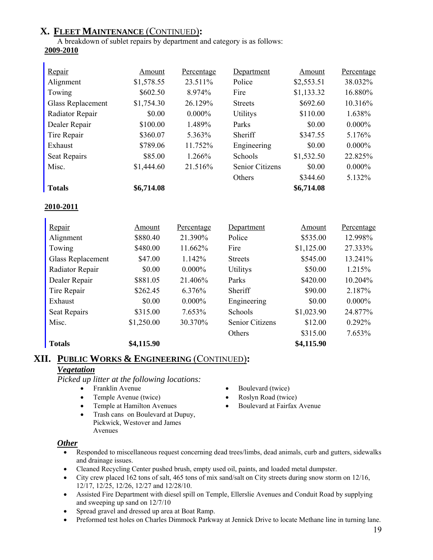# **X. FLEET MAINTENANCE** (CONTINUED)**:**

A breakdown of sublet repairs by department and category is as follows: **2009-2010**

| Radiator Repair | \$0.00     | $0.000\%$ | <b>Utilitys</b>        | \$110.00   | 1.638%    |
|-----------------|------------|-----------|------------------------|------------|-----------|
| Dealer Repair   | \$100.00   | 1.489%    | Parks                  | \$0.00     | $0.000\%$ |
| Tire Repair     | \$360.07   | 5.363%    | Sheriff                | \$347.55   | 5.176%    |
| Exhaust         | \$789.06   | 11.752%   | Engineering            | \$0.00     | $0.000\%$ |
| Seat Repairs    | \$85.00    | $1.266\%$ | Schools                | \$1,532.50 | 22.825%   |
| Misc.           | \$1,444.60 | 21.516\%  | <b>Senior Citizens</b> | \$0.00     | $0.000\%$ |
|                 |            |           | Others                 | \$344.60   | 5.132%    |
| <b>Totals</b>   | \$6,714.08 |           |                        | \$6,714.08 |           |

# **2010-2011**

| Repair            | Amount     | Percentage | Department             | Amount     | Percentage |
|-------------------|------------|------------|------------------------|------------|------------|
| Alignment         | \$880.40   | 21.390%    | Police                 | \$535.00   | 12.998%    |
| Towing            | \$480.00   | 11.662%    | Fire                   | \$1,125.00 | 27.333%    |
| Glass Replacement | \$47.00    | 1.142%     | <b>Streets</b>         | \$545.00   | 13.241%    |
| Radiator Repair   | \$0.00     | $0.000\%$  | <b>Utilitys</b>        | \$50.00    | 1.215%     |
| Dealer Repair     | \$881.05   | 21.406%    | Parks                  | \$420.00   | 10.204%    |
| Tire Repair       | \$262.45   | 6.376%     | Sheriff                | \$90.00    | 2.187%     |
| Exhaust           | \$0.00     | $0.000\%$  | Engineering            | \$0.00     | $0.000\%$  |
| Seat Repairs      | \$315.00   | 7.653%     | Schools                | \$1,023.90 | 24.877%    |
| Misc.             | \$1,250.00 | 30.370%    | <b>Senior Citizens</b> | \$12.00    | 0.292%     |
|                   |            |            | Others                 | \$315.00   | 7.653%     |
| <b>Totals</b>     | \$4,115.90 |            |                        | \$4,115.90 |            |

# **XII. PUBLIC WORKS & ENGINEERING** (CONTINUED)**:**

# *Vegetation*

*Picked up litter at the following locations:* 

- 
- Temple Avenue (twice) Roslyn Road (twice)
- 
- Trash cans on Boulevard at Dupuy, Pickwick, Westover and James Avenues
- Franklin Avenue Boulevard (twice)
	-
- Temple at Hamilton Avenues Boulevard at Fairfax Avenue

### *Other*

- Responded to miscellaneous request concerning dead trees/limbs, dead animals, curb and gutters, sidewalks and drainage issues.
- Cleaned Recycling Center pushed brush, empty used oil, paints, and loaded metal dumpster.
- City crew placed 162 tons of salt, 465 tons of mix sand/salt on City streets during snow storm on 12/16, 12/17, 12/25, 12/26, 12/27 and 12/28/10.
- Assisted Fire Department with diesel spill on Temple, Ellerslie Avenues and Conduit Road by supplying and sweeping up sand on 12/7/10
- Spread gravel and dressed up area at Boat Ramp.
- Preformed test holes on Charles Dimmock Parkway at Jennick Drive to locate Methane line in turning lane.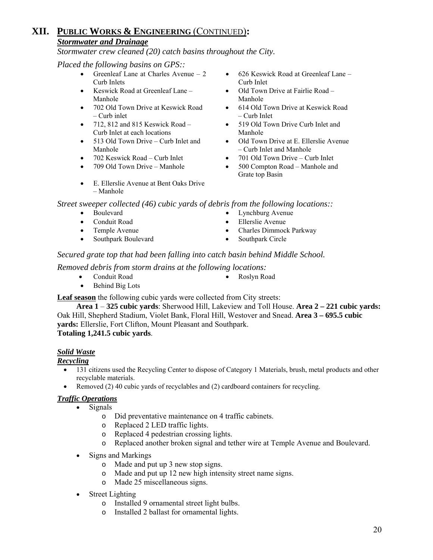# **XII. PUBLIC WORKS & ENGINEERING** (CONTINUED)**:** *Stormwater and Drainage*

*Stormwater crew cleaned (20) catch basins throughout the City.* 

*Placed the following basins on GPS::* 

- Greenleaf Lane at Charles Avenue 2 Curb Inlets
- Keswick Road at Greenleaf Lane Manhole
- 702 Old Town Drive at Keswick Road – Curb inlet
- 712, 812 and 815 Keswick Road Curb Inlet at each locations
- 513 Old Town Drive Curb Inlet and Manhole
- 
- 
- E. Ellerslie Avenue at Bent Oaks Drive – Manhole
- 626 Keswick Road at Greenleaf Lane Curb Inlet
- Old Town Drive at Fairlie Road Manhole
- 614 Old Town Drive at Keswick Road – Curb Inlet
- 519 Old Town Drive Curb Inlet and Manhole
- Old Town Drive at E. Ellerslie Avenue – Curb Inlet and Manhole
- 702 Keswick Road Curb Inlet 701 Old Town Drive Curb Inlet
- 709 Old Town Drive Manhole 500 Compton Road Manhole and Grate top Basin

*Street sweeper collected (46) cubic yards of debris from the following locations::* 

- Boulevard Lynchburg Avenue
- Conduit Road Ellerslie Avenue
- 
- Southpark Boulevard Southpark Circle
- 
- Temple Avenue Charles Dimmock Parkway
	-

# *Secured grate top that had been falling into catch basin behind Middle School.*

### *Removed debris from storm drains at the following locations:*

- 
- Conduit Road Roslyn Road
- Behind Big Lots

 **Leaf season** the following cubic yards were collected from City streets:

 **Area 1** – **325 cubic yards**: Sherwood Hill, Lakeview and Toll House. **Area 2 – 221 cubic yards:** Oak Hill, Shepherd Stadium, Violet Bank, Floral Hill, Westover and Snead. **Area 3 – 695.5 cubic yards:** Ellerslie, Fort Clifton, Mount Pleasant and Southpark. **Totaling 1,241.5 cubic yards**.

### *Solid Waste*

### *Recycling*

- 131 citizens used the Recycling Center to dispose of Category 1 Materials, brush, metal products and other recyclable materials.
- Removed (2) 40 cubic vards of recyclables and (2) cardboard containers for recycling.

### *Traffic Operations*

- Signals
	- o Did preventative maintenance on 4 traffic cabinets.
	- o Replaced 2 LED traffic lights.
	- o Replaced 4 pedestrian crossing lights.
	- o Replaced another broken signal and tether wire at Temple Avenue and Boulevard.
- Signs and Markings
	- o Made and put up 3 new stop signs.
	- o Made and put up 12 new high intensity street name signs.
	- o Made 25 miscellaneous signs.
- **Street Lighting** 
	- o Installed 9 ornamental street light bulbs.
	- o Installed 2 ballast for ornamental lights.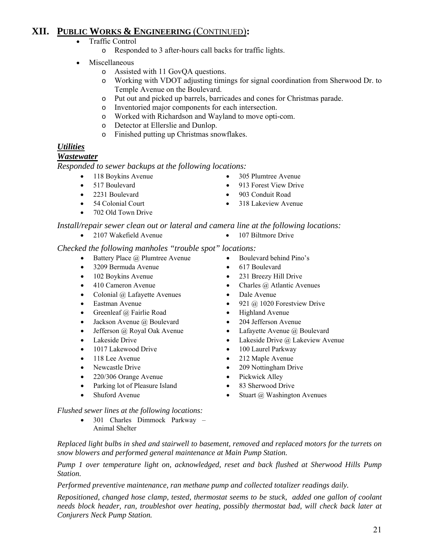# **XII. PUBLIC WORKS & ENGINEERING** (CONTINUED)**:**

- Traffic Control
	- o Responded to 3 after-hours call backs for traffic lights.
- Miscellaneous
	- o Assisted with 11 GovQA questions.
	- o Working with VDOT adjusting timings for signal coordination from Sherwood Dr. to Temple Avenue on the Boulevard.
	- o Put out and picked up barrels, barricades and cones for Christmas parade.
	- o Inventoried major components for each intersection.
	- o Worked with Richardson and Wayland to move opti-com.
	- o Detector at Ellerslie and Dunlop.
	- o Finished putting up Christmas snowflakes.

# *Utilities*

### *Wastewater*

*Responded to sewer backups at the following locations:* 

- 
- 
- 
- 
- 702 Old Town Drive
- 118 Boykins Avenue 305 Plumtree Avenue
- 517 Boulevard 913 Forest View Drive
- 2231 Boulevard 903 Conduit Road
- 54 Colonial Court 318 Lakeview Avenue

*Install/repair sewer clean out or lateral and camera line at the following locations:* 

- 2107 Wakefield Avenue 107 Biltmore Drive
	-

#### *Checked the following manholes "trouble spot" locations:*

- Battery Place @ Plumtree Avenue Boulevard behind Pino's
- 3209 Bermuda Avenue 617 Boulevard
- 102 Boykins Avenue 231 Breezy Hill Drive
- 410 Cameron Avenue Charles @ Atlantic Avenues
- Colonial @ Lafayette Avenues Dale Avenue
- 
- Greenleaf @ Fairlie Road Highland Avenue
- Jackson Avenue @ Boulevard 204 Jefferson Avenue
- Jefferson @ Royal Oak Avenue Lafayette Avenue @ Boulevard
- 
- 1017 Lakewood Drive 100 Laurel Parkway
- 
- 
- 220/306 Orange Avenue Pickwick Alley
- Parking lot of Pleasure Island 83 Sherwood Drive
- 
- 
- Eastman Avenue 921 @ 1020 Forestview Drive
	-
	-
	-
- Lakeside Drive Lakeside Drive Lakeside Drive @ Lakeview Avenue
	-
	- 118 Lee Avenue 212 Maple Avenue
		-
		-
		-
	- Shuford Avenue Stuart @ Washington Avenues

#### *Flushed sewer lines at the following locations:*

• 301 Charles Dimmock Parkway – Animal Shelter

*Replaced light bulbs in shed and stairwell to basement, removed and replaced motors for the turrets on snow blowers and performed general maintenance at Main Pump Station.* 

*Pump 1 over temperature light on, acknowledged, reset and back flushed at Sherwood Hills Pump Station.* 

*Performed preventive maintenance, ran methane pump and collected totalizer readings daily.* 

*Repositioned, changed hose clamp, tested, thermostat seems to be stuck, added one gallon of coolant needs block header, ran, troubleshot over heating, possibly thermostat bad, will check back later at Conjurers Neck Pump Station.* 

- -
	-
	-
- Newcastle Drive 209 Nottingham Drive
	-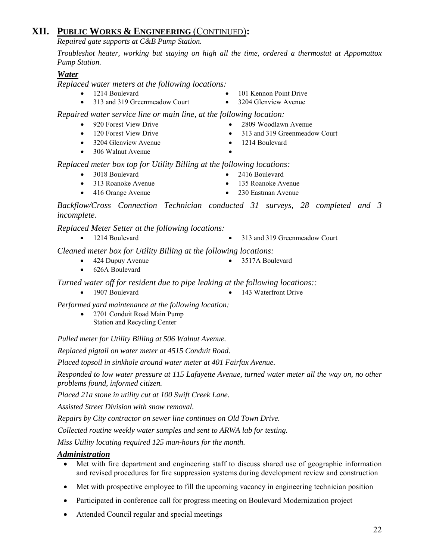# **XII. PUBLIC WORKS & ENGINEERING** (CONTINUED)**:**

*Repaired gate supports at C&B Pump Station.* 

*Troubleshot heater, working but staying on high all the time, ordered a thermostat at Appomattox Pump Station.* 

# *Water*

*Replaced water meters at the following locations:* 

- 1214 Boulevard 101 Kennon Point Drive
- 313 and 319 Greenmeadow Court 3204 Glenview Avenue

 *Repaired water service line or main line, at the following location:* 

- 
- 120 Forest View Drive 313 and 319 Greenmeadow Court
- 3204 Glenview Avenue 1214 Boulevard
- 306 Walnut Avenue
- 
- 

 *Replaced meter box top for Utility Billing at the following locations:* 

- 3018 Boulevard 2416 Boulevard
- 313 Roanoke Avenue 135 Roanoke Avenue
- 416 Orange Avenue 230 Eastman Avenue

 *Backflow/Cross Connection Technician conducted 31 surveys, 28 completed and 3 incomplete.* 

# *Replaced Meter Setter at the following locations:*

• 1214 Boulevard • 313 and 319 Greenmeadow Court

 *Cleaned meter box for Utility Billing at the following locations:* 

- 424 Dupuy Avenue 3517A Boulevard
- 

• 626A Boulevard

 *Turned water off for resident due to pipe leaking at the following locations::* 

- 1907 Boulevard 143 Waterfront Drive
	-

 *Performed yard maintenance at the following location:* 

• 2701 Conduit Road Main Pump Station and Recycling Center

*Pulled meter for Utility Billing at 506 Walnut Avenue.* 

*Replaced pigtail on water meter at 4515 Conduit Road.* 

*Placed topsoil in sinkhole around water meter at 401 Fairfax Avenue.* 

*Responded to low water pressure at 115 Lafayette Avenue, turned water meter all the way on, no other problems found, informed citizen.* 

*Placed 21a stone in utility cut at 100 Swift Creek Lane.* 

*Assisted Street Division with snow removal.* 

*Repairs by City contractor on sewer line continues on Old Town Drive.* 

*Collected routine weekly water samples and sent to ARWA lab for testing.* 

*Miss Utility locating required 125 man-hours for the month.* 

# *Administration*

- Met with fire department and engineering staff to discuss shared use of geographic information and revised procedures for fire suppression systems during development review and construction
- Met with prospective employee to fill the upcoming vacancy in engineering technician position
- Participated in conference call for progress meeting on Boulevard Modernization project
- Attended Council regular and special meetings
- -
	-
- 920 Forest View Drive 2809 Woodlawn Avenue